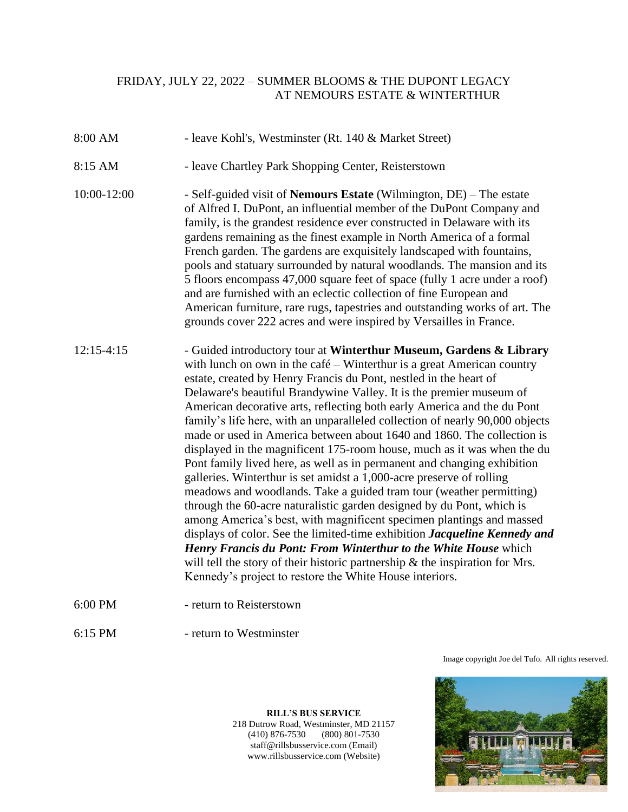## FRIDAY, JULY 22, 2022 – SUMMER BLOOMS & THE DUPONT LEGACY AT NEMOURS ESTATE & WINTERTHUR

- 8:00 AM leave Kohl's, Westminster (Rt. 140 & Market Street)
- 8:15 AM leave Chartley Park Shopping Center, Reisterstown
- 10:00-12:00 Self-guided visit of **Nemours Estate** (Wilmington, DE) The estate of Alfred I. DuPont, an influential member of the DuPont Company and family, is the grandest residence ever constructed in Delaware with its gardens remaining as the finest example in North America of a formal French garden. The gardens are exquisitely landscaped with fountains, pools and statuary surrounded by natural woodlands. The mansion and its 5 floors encompass 47,000 square feet of space (fully 1 acre under a roof) and are furnished with an eclectic collection of fine European and American furniture, rare rugs, tapestries and outstanding works of art. The grounds cover 222 acres and were inspired by Versailles in France.
- 12:15-4:15 Guided introductory tour at **Winterthur Museum, Gardens & Library** with lunch on own in the café – Winterthur is a great American country estate, created by Henry Francis du Pont, nestled in the heart of Delaware's beautiful Brandywine Valley. It is the premier museum of American decorative arts, reflecting both early America and the du Pont family's life here, with an unparalleled collection of nearly 90,000 objects made or used in America between about 1640 and 1860. The collection is displayed in the magnificent 175-room house, much as it was when the du Pont family lived here, as well as in permanent and changing exhibition galleries. Winterthur is set amidst a 1,000-acre preserve of rolling meadows and woodlands. Take a guided tram tour (weather permitting) through the 60-acre naturalistic garden designed by du Pont, which is among America's best, with magnificent specimen plantings and massed displays of color. See the limited-time exhibition *Jacqueline Kennedy and Henry Francis du Pont: From Winterthur to the White House* which will tell the story of their historic partnership  $\&$  the inspiration for Mrs. Kennedy's project to restore the White House interiors.
- 6:00 PM return to Reisterstown
- 6:15 PM return to Westminster

Image copyright Joe del Tufo. All rights reserved.